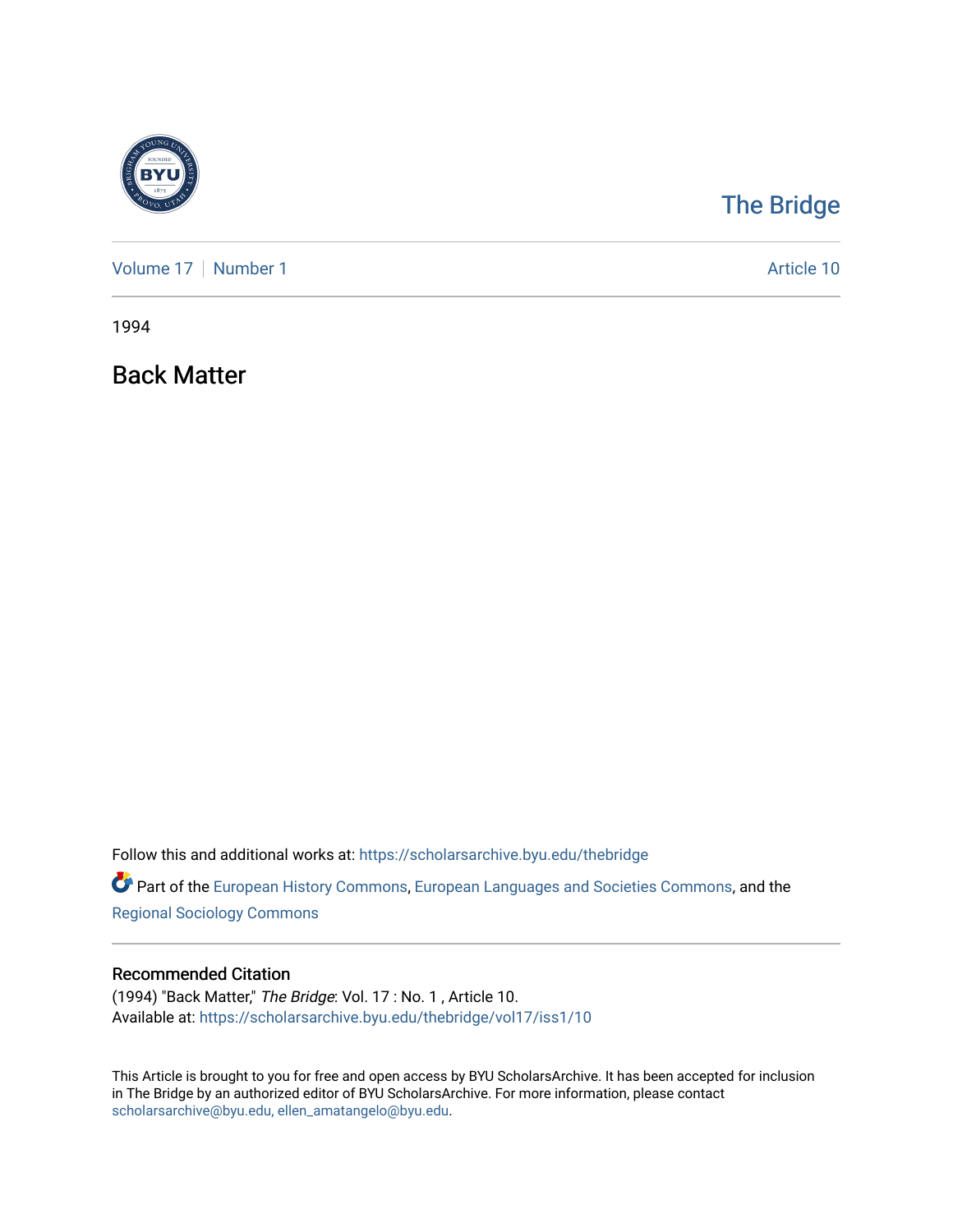

## [The Bridge](https://scholarsarchive.byu.edu/thebridge)

[Volume 17](https://scholarsarchive.byu.edu/thebridge/vol17) | [Number 1](https://scholarsarchive.byu.edu/thebridge/vol17/iss1) Article 10

1994

Back Matter

Follow this and additional works at: [https://scholarsarchive.byu.edu/thebridge](https://scholarsarchive.byu.edu/thebridge?utm_source=scholarsarchive.byu.edu%2Fthebridge%2Fvol17%2Fiss1%2F10&utm_medium=PDF&utm_campaign=PDFCoverPages) 

**Part of the [European History Commons](http://network.bepress.com/hgg/discipline/492?utm_source=scholarsarchive.byu.edu%2Fthebridge%2Fvol17%2Fiss1%2F10&utm_medium=PDF&utm_campaign=PDFCoverPages), [European Languages and Societies Commons,](http://network.bepress.com/hgg/discipline/482?utm_source=scholarsarchive.byu.edu%2Fthebridge%2Fvol17%2Fiss1%2F10&utm_medium=PDF&utm_campaign=PDFCoverPages) and the** [Regional Sociology Commons](http://network.bepress.com/hgg/discipline/427?utm_source=scholarsarchive.byu.edu%2Fthebridge%2Fvol17%2Fiss1%2F10&utm_medium=PDF&utm_campaign=PDFCoverPages) 

## Recommended Citation

(1994) "Back Matter," The Bridge: Vol. 17 : No. 1 , Article 10. Available at: [https://scholarsarchive.byu.edu/thebridge/vol17/iss1/10](https://scholarsarchive.byu.edu/thebridge/vol17/iss1/10?utm_source=scholarsarchive.byu.edu%2Fthebridge%2Fvol17%2Fiss1%2F10&utm_medium=PDF&utm_campaign=PDFCoverPages)

This Article is brought to you for free and open access by BYU ScholarsArchive. It has been accepted for inclusion in The Bridge by an authorized editor of BYU ScholarsArchive. For more information, please contact [scholarsarchive@byu.edu, ellen\\_amatangelo@byu.edu](mailto:scholarsarchive@byu.edu,%20ellen_amatangelo@byu.edu).